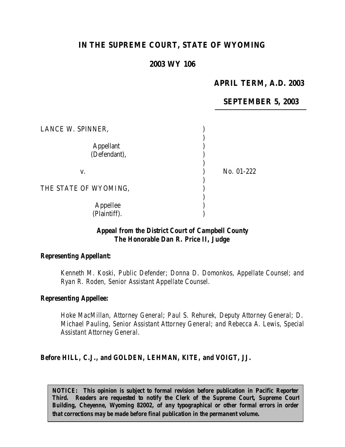# **IN THE SUPREME COURT, STATE OF WYOMING**

## **2003 WY 106**

# **APRIL TERM, A.D. 2003**

## **SEPTEMBER 5, 2003**

| LANCE W. SPINNER,         |            |
|---------------------------|------------|
| Appellant<br>(Defendant), |            |
| V.                        | No. 01-222 |
| THE STATE OF WYOMING,     |            |
| Appellee<br>(Plaintiff).  |            |

#### *Appeal from the District Court of Campbell County The Honorable Dan R. Price II, Judge*

#### *Representing Appellant:*

*Kenneth M. Koski, Public Defender; Donna D. Domonkos, Appellate Counsel; and Ryan R. Roden, Senior Assistant Appellate Counsel.*

#### *Representing Appellee:*

*Hoke MacMillan, Attorney General; Paul S. Rehurek, Deputy Attorney General; D. Michael Pauling, Senior Assistant Attorney General; and Rebecca A. Lewis, Special Assistant Attorney General.*

#### *Before HILL, C.J., and GOLDEN, LEHMAN, KITE, and VOIGT, JJ.*

*NOTICE: This opinion is subject to formal revision before publication in Pacific Reporter Third. Readers are requested to notify the Clerk of the Supreme Court, Supreme Court Building, Cheyenne, Wyoming 82002, of any typographical or other formal errors in order that corrections may be made before final publication in the permanent volume.*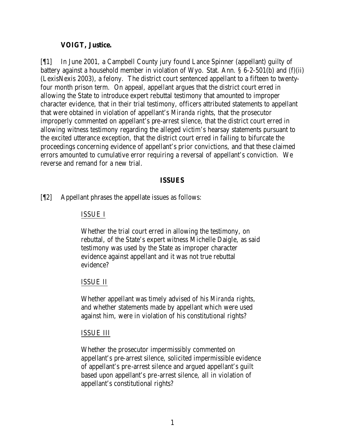### **VOIGT, Justice.**

[¶1] In June 2001, a Campbell County jury found Lance Spinner (appellant) guilty of battery against a household member in violation of Wyo. Stat. Ann. § 6-2-501(b) and (f)(ii) (LexisNexis 2003), a felony. The district court sentenced appellant to a fifteen to twentyfour month prison term. On appeal, appellant argues that the district court erred in allowing the State to introduce expert rebuttal testimony that amounted to improper character evidence, that in their trial testimony, officers attributed statements to appellant that were obtained in violation of appellant's *Miranda* rights, that the prosecutor improperly commented on appellant's pre-arrest silence, that the district court erred in allowing witness testimony regarding the alleged victim's hearsay statements pursuant to the excited utterance exception, that the district court erred in failing to bifurcate the proceedings concerning evidence of appellant's prior convictions, and that these claimed errors amounted to cumulative error requiring a reversal of appellant's conviction. We reverse and remand for a new trial.

#### **ISSUES**

[¶2] Appellant phrases the appellate issues as follows:

#### ISSUE I

Whether the trial court erred in allowing the testimony, on rebuttal, of the State's expert witness Michelle Daigle, as said testimony was used by the State as improper character evidence against appellant and it was not true rebuttal evidence?

#### ISSUE II

Whether appellant was timely advised of his *Miranda* rights, and whether statements made by appellant which were used against him, were in violation of his constitutional rights?

#### ISSUE III

Whether the prosecutor impermissibly commented on appellant's pre-arrest silence, solicited impermissible evidence of appellant's pre-arrest silence and argued appellant's guilt based upon appellant's pre-arrest silence, all in violation of appellant's constitutional rights?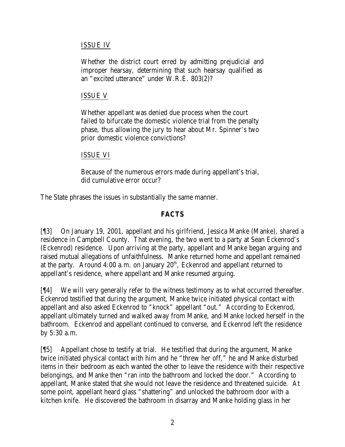## ISSUE IV

Whether the district court erred by admitting prejudicial and improper hearsay, determining that such hearsay qualified as an "excited utterance" under W.R.E. 803(2)?

### ISSUE V

Whether appellant was denied due process when the court failed to bifurcate the domestic violence trial from the penalty phase, thus allowing the jury to hear about Mr. Spinner's two prior domestic violence convictions?

### ISSUE VI

Because of the numerous errors made during appellant's trial, did cumulative error occur?

The State phrases the issues in substantially the same manner.

## **FACTS**

[¶3] On January 19, 2001, appellant and his girlfriend, Jessica Manke (Manke), shared a residence in Campbell County. That evening, the two went to a party at Sean Eckenrod's (Eckenrod) residence. Upon arriving at the party, appellant and Manke began arguing and raised mutual allegations of unfaithfulness. Manke returned home and appellant remained at the party. Around 4:00 a.m. on January  $20<sup>th</sup>$ , Eckenrod and appellant returned to appellant's residence, where appellant and Manke resumed arguing.

[¶4] We will very generally refer to the witness testimony as to what occurred thereafter. Eckenrod testified that during the argument, Manke twice initiated physical contact with appellant and also asked Eckenrod to "knock" appellant "out." According to Eckenrod, appellant ultimately turned and walked away from Manke, and Manke locked herself in the bathroom. Eckenrod and appellant continued to converse, and Eckenrod left the residence by 5:30 a.m.

[¶5] Appellant chose to testify at trial. He testified that during the argument, Manke twice initiated physical contact with him and he "threw her off," he and Manke disturbed items in their bedroom as each wanted the other to leave the residence with their respective belongings, and Manke then "ran into the bathroom and locked the door." According to appellant, Manke stated that she would not leave the residence and threatened suicide. At some point, appellant heard glass "shattering" and unlocked the bathroom door with a kitchen knife. He discovered the bathroom in disarray and Manke holding glass in her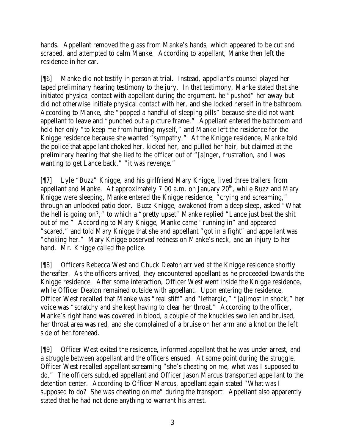hands. Appellant removed the glass from Manke's hands, which appeared to be cut and scraped, and attempted to calm Manke. According to appellant, Manke then left the residence in her car.

[¶6] Manke did not testify in person at trial. Instead, appellant's counsel played her taped preliminary hearing testimony to the jury. In that testimony, Manke stated that she initiated physical contact with appellant during the argument, he "pushed" her away but did not otherwise initiate physical contact with her, and she locked herself in the bathroom. According to Manke, she "popped a handful of sleeping pills" because she did not want appellant to leave and "punched out a picture frame." Appellant entered the bathroom and held her only "to keep me from hurting myself," and Manke left the residence for the Knigge residence because she wanted "sympathy." At the Knigge residence, Manke told the police that appellant choked her, kicked her, and pulled her hair, but claimed at the preliminary hearing that she lied to the officer out of "[a]nger, frustration, and I was wanting to get Lance back," "it was revenge."

[¶7] Lyle "Buzz" Knigge, and his girlfriend Mary Knigge, lived three trailers from appellant and Manke. At approximately 7:00 a.m. on January  $20<sup>th</sup>$ , while Buzz and Mary Knigge were sleeping, Manke entered the Knigge residence, "crying and screaming," through an unlocked patio door. Buzz Knigge, awakened from a deep sleep, asked "What the hell is going on?," to which a "pretty upset" Manke replied "Lance just beat the shit out of me." According to Mary Knigge, Manke came "running in" and appeared "scared," and told Mary Knigge that she and appellant "got in a fight" and appellant was "choking her." Mary Knigge observed redness on Manke's neck, and an injury to her hand. Mr. Knigge called the police.

[¶8] Officers Rebecca West and Chuck Deaton arrived at the Knigge residence shortly thereafter. As the officers arrived, they encountered appellant as he proceeded towards the Knigge residence. After some interaction, Officer West went inside the Knigge residence, while Officer Deaton remained outside with appellant. Upon entering the residence, Officer West recalled that Manke was "real stiff" and "lethargic," "[a]lmost in shock," her voice was "scratchy and she kept having to clear her throat." According to the officer, Manke's right hand was covered in blood, a couple of the knuckles swollen and bruised, her throat area was red, and she complained of a bruise on her arm and a knot on the left side of her forehead.

[¶9] Officer West exited the residence, informed appellant that he was under arrest, and a struggle between appellant and the officers ensued. At some point during the struggle, Officer West recalled appellant screaming "she's cheating on me, what was I supposed to do." The officers subdued appellant and Officer Jason Marcus transported appellant to the detention center. According to Officer Marcus, appellant again stated "What was I supposed to do? She was cheating on me" during the transport. Appellant also apparently stated that he had not done anything to warrant his arrest.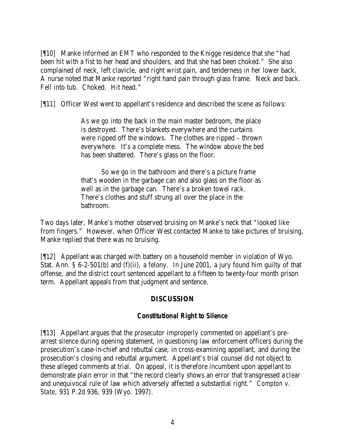[¶10] Manke informed an EMT who responded to the Knigge residence that she "had been hit with a fist to her head and shoulders, and that she had been choked." She also complained of neck, left clavicle, and right wrist pain, and tenderness in her lower back. A nurse noted that Manke reported "right hand pain through glass frame. Neck and back. Fell into tub. Choked. Hit head."

[¶11] Officer West went to appellant's residence and described the scene as follows:

As we go into the back in the main master bedroom, the place is destroyed. There's blankets everywhere and the curtains were ripped off the windows. The clothes are ripped – thrown everywhere. It's a complete mess. The window above the bed has been shattered. There's glass on the floor.

So we go in the bathroom and there's a picture frame that's wooden in the garbage can and also glass on the floor as well as in the garbage can. There's a broken towel rack. There's clothes and stuff strung all over the place in the bathroom.

Two days later, Manke's mother observed bruising on Manke's neck that "looked like from fingers." However, when Officer West contacted Manke to take pictures of bruising, Manke replied that there was no bruising.

[¶12] Appellant was charged with battery on a household member in violation of Wyo. Stat. Ann. § 6-2-501(b) and (f)(ii), a felony. In June 2001, a jury found him guilty of that offense, and the district court sentenced appellant to a fifteen to twenty-four month prison term. Appellant appeals from that judgment and sentence.

## **DISCUSSION**

#### *Constitutional Right to Silence*

[¶13] Appellant argues that the prosecutor improperly commented on appellant's prearrest silence during opening statement, in questioning law enforcement officers during the prosecution's case-in-chief and rebuttal case, in cross-examining appellant, and during the prosecution's closing and rebuttal argument. Appellant's trial counsel did not object to these alleged comments at trial. On appeal, it is therefore incumbent upon appellant to demonstrate plain error in that "the record clearly shows an error that transgressed a clear and unequivocal rule of law which adversely affected a substantial right." *Compton v. State*, 931 P.2d 936, 939 (Wyo. 1997).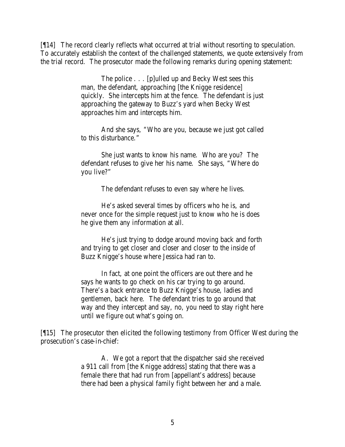[¶14] The record clearly reflects what occurred at trial without resorting to speculation. To accurately establish the context of the challenged statements, we quote extensively from the trial record. The prosecutor made the following remarks during opening statement:

> The police . . . [p]ulled up and Becky West sees this man, the defendant, approaching [the Knigge residence] quickly. She intercepts him at the fence. The defendant is just approaching the gateway to Buzz's yard when Becky West approaches him and intercepts him.

> And she says, "Who are you, because we just got called to this disturbance."

She just wants to know his name. Who are you? The defendant refuses to give her his name. She says, "Where do you live?"

The defendant refuses to even say where he lives.

He's asked several times by officers who he is, and never once for the simple request just to know who he is does he give them any information at all.

He's just trying to dodge around moving back and forth and trying to get closer and closer and closer to the inside of Buzz Knigge's house where Jessica had ran to.

In fact, at one point the officers are out there and he says he wants to go check on his car trying to go around. There's a back entrance to Buzz Knigge's house, ladies and gentlemen, back here. The defendant tries to go around that way and they intercept and say, no, you need to stay right here until we figure out what's going on.

[¶15] The prosecutor then elicited the following testimony from Officer West during the prosecution's case-in-chief:

> A. We got a report that the dispatcher said she received a 911 call from [the Knigge address] stating that there was a female there that had run from [appellant's address] because there had been a physical family fight between her and a male.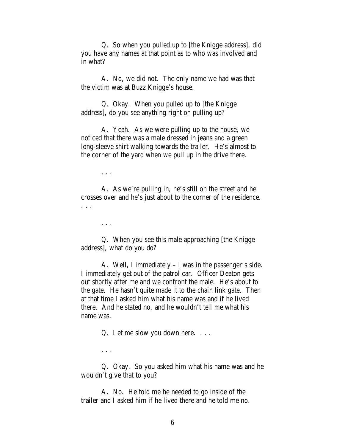Q. So when you pulled up to [the Knigge address], did you have any names at that point as to who was involved and in what?

A. No, we did not. The only name we had was that the victim was at Buzz Knigge's house.

Q. Okay. When you pulled up to [the Knigge address], do you see anything right on pulling up?

A. Yeah. As we were pulling up to the house, we noticed that there was a male dressed in jeans and a green long-sleeve shirt walking towards the trailer. He's almost to the corner of the yard when we pull up in the drive there.

. . .

A. As we're pulling in, he's still on the street and he crosses over and he's just about to the corner of the residence. . . .

. . .

. . .

Q. When you see this male approaching [the Knigge address], what do you do?

A. Well, I immediately – I was in the passenger's side. I immediately get out of the patrol car. Officer Deaton gets out shortly after me and we confront the male. He's about to the gate. He hasn't quite made it to the chain link gate. Then at that time I asked him what his name was and if he lived there. And he stated no, and he wouldn't tell me what his name was.

Q. Let me slow you down here. . . .

Q. Okay. So you asked him what his name was and he wouldn't give that to you?

A. No. He told me he needed to go inside of the trailer and I asked him if he lived there and he told me no.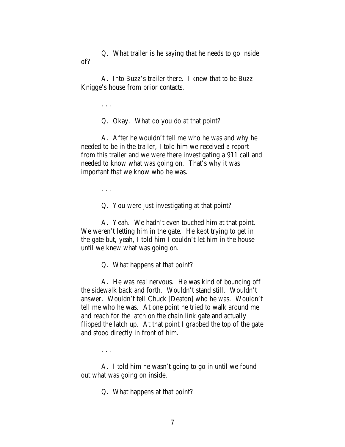Q. What trailer is he saying that he needs to go inside of?

A. Into Buzz's trailer there. I knew that to be Buzz Knigge's house from prior contacts.

. . .

Q. Okay. What do you do at that point?

A. After he wouldn't tell me who he was and why he needed to be in the trailer, I told him we received a report from this trailer and we were there investigating a 911 call and needed to know what was going on. That's why it was important that we know who he was.

. . .

Q. You were just investigating at that point?

A. Yeah. We hadn't even touched him at that point. We weren't letting him in the gate. He kept trying to get in the gate but, yeah, I told him I couldn't let him in the house until we knew what was going on.

Q. What happens at that point?

A. He was real nervous. He was kind of bouncing off the sidewalk back and forth. Wouldn't stand still. Wouldn't answer. Wouldn't tell Chuck [Deaton] who he was. Wouldn't tell me who he was. At one point he tried to walk around me and reach for the latch on the chain link gate and actually flipped the latch up. At that point I grabbed the top of the gate and stood directly in front of him.

. . .

A. I told him he wasn't going to go in until we found out what was going on inside.

Q. What happens at that point?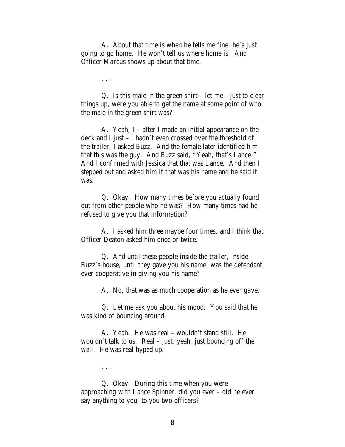A. About that time is when he tells me fine, he's just going to go home. He won't tell us where home is. And Officer Marcus shows up about that time.

. . .

. . .

Q. Is this male in the green shirt – let me – just to clear things up, were you able to get the name at some point of who the male in the green shirt was?

A. Yeah, I – after I made an initial appearance on the deck and I just – I hadn't even crossed over the threshold of the trailer, I asked Buzz. And the female later identified him that this was the guy. And Buzz said, "Yeah, that's Lance." And I confirmed with Jessica that that was Lance. And then I stepped out and asked him if that was his name and he said it was.

Q. Okay. How many times before you actually found out from other people who he was? How many times had he refused to give you that information?

A. I asked him three maybe four times, and I think that Officer Deaton asked him once or twice.

Q. And until these people inside the trailer, inside Buzz's house, until they gave you his name, was the defendant ever cooperative in giving you his name?

A. No, that was as much cooperation as he ever gave.

Q. Let me ask you about his mood. You said that he was kind of bouncing around.

A. Yeah. He was real – wouldn't stand still. He wouldn't talk to us. Real – just, yeah, just bouncing off the wall. He was real hyped up.

Q. Okay. During this time when you were approaching with Lance Spinner, did you ever – did he ever say anything to you, to you two officers?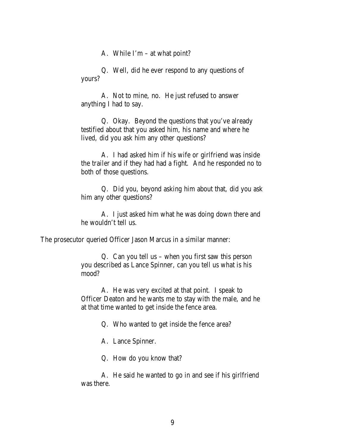A. While I'm – at what point?

Q. Well, did he ever respond to any questions of yours?

A. Not to mine, no. He just refused to answer anything I had to say.

Q. Okay. Beyond the questions that you've already testified about that you asked him, his name and where he lived, did you ask him any other questions?

A. I had asked him if his wife or girlfriend was inside the trailer and if they had had a fight. And he responded no to both of those questions.

Q. Did you, beyond asking him about that, did you ask him any other questions?

A. I just asked him what he was doing down there and he wouldn't tell us.

The prosecutor queried Officer Jason Marcus in a similar manner:

Q. Can you tell us – when you first saw this person you described as Lance Spinner, can you tell us what is his mood?

A. He was very excited at that point. I speak to Officer Deaton and he wants me to stay with the male, and he at that time wanted to get inside the fence area.

Q. Who wanted to get inside the fence area?

A. Lance Spinner.

Q. How do you know that?

A. He said he wanted to go in and see if his girlfriend was there.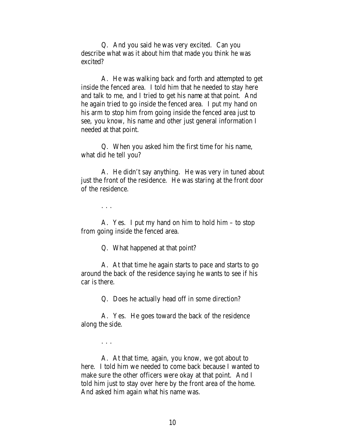Q. And you said he was very excited. Can you describe what was it about him that made you think he was excited?

A. He was walking back and forth and attempted to get inside the fenced area. I told him that he needed to stay here and talk to me, and I tried to get his name at that point. And he again tried to go inside the fenced area. I put my hand on his arm to stop him from going inside the fenced area just to see, you know, his name and other just general information I needed at that point.

Q. When you asked him the first time for his name, what did he tell you?

A. He didn't say anything. He was very in tuned about just the front of the residence. He was staring at the front door of the residence.

. . .

. . .

A. Yes. I put my hand on him to hold him – to stop from going inside the fenced area.

Q. What happened at that point?

A. At that time he again starts to pace and starts to go around the back of the residence saying he wants to see if his car is there.

Q. Does he actually head off in some direction?

A. Yes. He goes toward the back of the residence along the side.

A. At that time, again, you know, we got about to here. I told him we needed to come back because I wanted to make sure the other officers were okay at that point. And I told him just to stay over here by the front area of the home. And asked him again what his name was.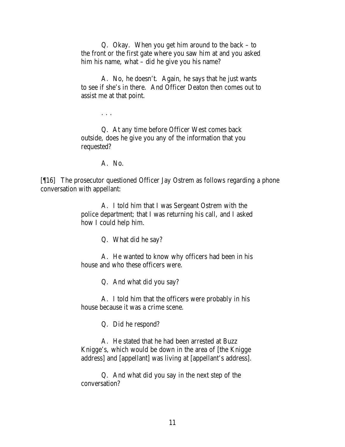Q. Okay. When you get him around to the back – to the front or the first gate where you saw him at and you asked him his name, what – did he give you his name?

A. No, he doesn't. Again, he says that he just wants to see if she's in there. And Officer Deaton then comes out to assist me at that point.

. . .

Q. At any time before Officer West comes back outside, does he give you any of the information that you requested?

A. No.

[¶16] The prosecutor questioned Officer Jay Ostrem as follows regarding a phone conversation with appellant:

> A. I told him that I was Sergeant Ostrem with the police department; that I was returning his call, and I asked how I could help him.

> > Q. What did he say?

A. He wanted to know why officers had been in his house and who these officers were.

Q. And what did you say?

A. I told him that the officers were probably in his house because it was a crime scene.

Q. Did he respond?

A. He stated that he had been arrested at Buzz Knigge's, which would be down in the area of [the Knigge address] and [appellant] was living at [appellant's address].

Q. And what did you say in the next step of the conversation?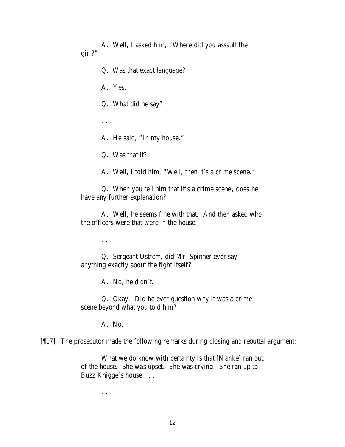A. Well, I asked him, "Where did you assault the girl?"

Q. Was that exact language?

A. Yes.

Q. What did he say?

. . .

A. He said, "In my house."

Q. Was that it?

A. Well, I told him, "Well, then it's a crime scene."

Q. When you tell him that it's a crime scene, does he have any further explanation?

A. Well, he seems fine with that. And then asked who the officers were that were in the house.

. . .

Q. Sergeant Ostrem, did Mr. Spinner ever say anything exactly about the fight itself?

A. No, he didn't.

Q. Okay. Did he ever question why it was a crime scene beyond what you told him?

A. No.

[¶17] The prosecutor made the following remarks during closing and rebuttal argument:

What we do know with certainty is that [Manke] ran out of the house. She was upset. She was crying. She ran up to Buzz Knigge's house . . ..

. . .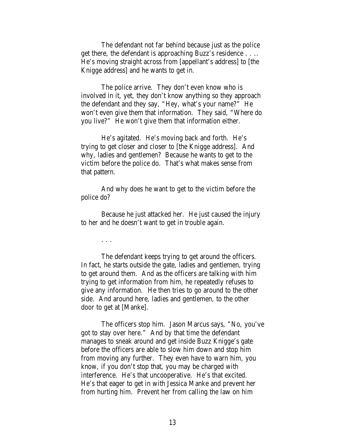The defendant not far behind because just as the police get there, the defendant is approaching Buzz's residence . . .. He's moving straight across from [appellant's address] to [the Knigge address] and he wants to get in.

The police arrive. They don't even know who is involved in it, yet, they don't know anything so they approach the defendant and they say, "Hey, what's your name?" He won't even give them that information. They said, "Where do you live?" He won't give them that information either.

He's agitated. He's moving back and forth. He's trying to get closer and closer to [the Knigge address]. And why, ladies and gentlemen? Because he wants to get to the victim before the police do. That's what makes sense from that pattern.

And why does he want to get to the victim before the police do?

Because he just attacked her. He just caused the injury to her and he doesn't want to get in trouble again.

. . .

The defendant keeps trying to get around the officers. In fact, he starts outside the gate, ladies and gentlemen, trying to get around them. And as the officers are talking with him trying to get information from him, he repeatedly refuses to give any information. He then tries to go around to the other side. And around here, ladies and gentlemen, to the other door to get at [Manke].

The officers stop him. Jason Marcus says, "No, you've got to stay over here." And by that time the defendant manages to sneak around and get inside Buzz Knigge's gate before the officers are able to slow him down and stop him from moving any further. They even have to warn him, you know, if you don't stop that, you may be charged with interference. He's that uncooperative. He's that excited. He's that eager to get in with Jessica Manke and prevent her from hurting him. Prevent her from calling the law on him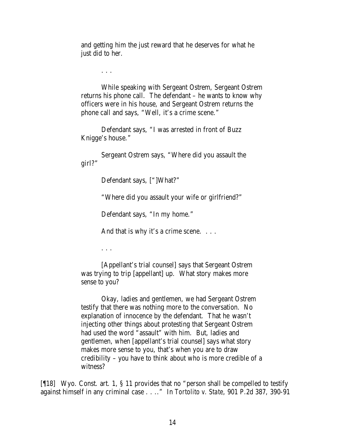and getting him the just reward that he deserves for what he just did to her.

. . .

While speaking with Sergeant Ostrem, Sergeant Ostrem returns his phone call. The defendant – he wants to know why officers were in his house, and Sergeant Ostrem returns the phone call and says, "Well, it's a crime scene."

Defendant says, "I was arrested in front of Buzz Knigge's house."

Sergeant Ostrem says, "Where did you assault the girl?"

Defendant says, ["]What?"

"Where did you assault your wife or girlfriend?"

Defendant says, "In my home."

And that is why it's a crime scene. . . .

. . .

[Appellant's trial counsel] says that Sergeant Ostrem was trying to trip [appellant] up. What story makes more sense to you?

Okay, ladies and gentlemen, we had Sergeant Ostrem testify that there was nothing more to the conversation. No explanation of innocence by the defendant. That he wasn't injecting other things about protesting that Sergeant Ostrem had used the word "assault" with him. But, ladies and gentlemen, when [appellant's trial counsel] says what story makes more sense to you, that's when you are to draw credibility – you have to think about who is more credible of a witness?

[¶18] Wyo. Const. art. 1, § 11 provides that no "person shall be compelled to testify against himself in any criminal case . . .." In *Tortolito v. State*, 901 P.2d 387, 390-91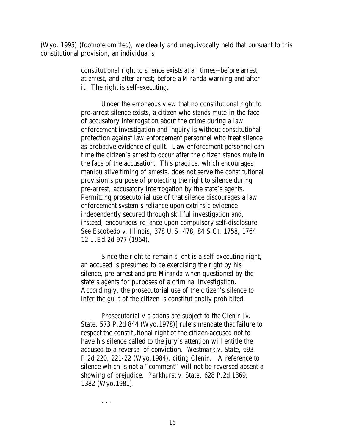(Wyo. 1995) (footnote omitted), we clearly and unequivocally held that pursuant to this constitutional provision, an individual's

> constitutional right to silence exists at all times--before arrest, at arrest, and after arrest; before a *Miranda* warning and after it. The right is self-executing.

Under the erroneous view that no constitutional right to pre-arrest silence exists, a citizen who stands mute in the face of accusatory interrogation about the crime during a law enforcement investigation and inquiry is without constitutional protection against law enforcement personnel who treat silence as probative evidence of guilt. Law enforcement personnel can time the citizen's arrest to occur after the citizen stands mute in the face of the accusation. This practice, which encourages manipulative timing of arrests, does not serve the constitutional provision's purpose of protecting the right to silence during pre-arrest, accusatory interrogation by the state's agents. Permitting prosecutorial use of that silence discourages a law enforcement system's reliance upon extrinsic evidence independently secured through skillful investigation and, instead, encourages reliance upon compulsory self-disclosure. *See Escobedo v. Illinois*, 378 U.S. 478, 84 S.Ct. 1758, 1764 12 L.Ed.2d 977 (1964).

Since the right to remain silent is a self-executing right, an accused is presumed to be exercising the right by his silence, pre-arrest and pre-*Miranda* when questioned by the state's agents for purposes of a criminal investigation. Accordingly, the prosecutorial use of the citizen's silence to infer the guilt of the citizen is constitutionally prohibited.

Prosecutorial violations are subject to the *Clenin [v. State*, 573 P.2d 844 (Wyo.1978)] rule's mandate that failure to respect the constitutional right of the citizen-accused not to have his silence called to the jury's attention will entitle the accused to a reversal of conviction. *Westmark v. State*, 693 P.2d 220, 221-22 (Wyo.1984), *citing Clenin*. A reference to silence which is not a "comment" will not be reversed absent a showing of prejudice. *Parkhurst v. State*, 628 P.2d 1369, 1382 (Wyo.1981).

. . .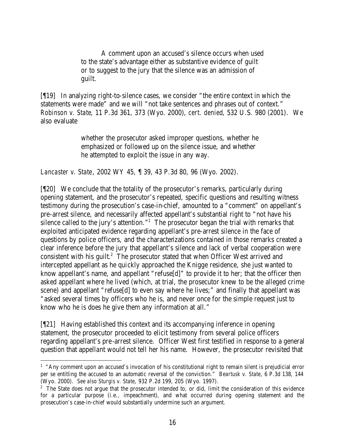A comment upon an accused's silence occurs when used to the state's advantage either as substantive evidence of guilt or to suggest to the jury that the silence was an admission of guilt.

[¶19] In analyzing right-to-silence cases, we consider "the entire context in which the statements were made" and we will "not take sentences and phrases out of context." *Robinson v. State*, 11 P.3d 361, 373 (Wyo. 2000), *cert. denied*, 532 U.S. 980 (2001). We also evaluate

> whether the prosecutor asked improper questions, whether he emphasized or followed up on the silence issue, and whether he attempted to exploit the issue in any way.

*Lancaster v. State*, 2002 WY 45, ¶ 39, 43 P.3d 80, 96 (Wyo. 2002).

[¶20] We conclude that the totality of the prosecutor's remarks, particularly during opening statement, and the prosecutor's repeated, specific questions and resulting witness testimony during the prosecution's case-in-chief, amounted to a "comment" on appellant's pre-arrest silence, and necessarily affected appellant's substantial right to "not have his silence called to the jury's attention." $1$  The prosecutor began the trial with remarks that exploited anticipated evidence regarding appellant's pre-arrest silence in the face of questions by police officers, and the characterizations contained in those remarks created a clear inference before the jury that appellant's silence and lack of verbal cooperation were consistent with his guilt. $2$  The prosecutor stated that when Officer West arrived and intercepted appellant as he quickly approached the Knigge residence, she just wanted to know appellant's name, and appellant "refuse[d]" to provide it to her; that the officer then asked appellant where he lived (which, at trial, the prosecutor knew to be the alleged crime scene) and appellant "refuse[d] to even say where he lives;" and finally that appellant was "asked several times by officers who he is, and never once for the simple request just to know who he is does he give them any information at all."

[¶21] Having established this context and its accompanying inference in opening statement, the prosecutor proceeded to elicit testimony from several police officers regarding appellant's pre-arrest silence. Officer West first testified in response to a general question that appellant would not tell her his name. However, the prosecutor revisited that

<sup>&</sup>lt;sup>1</sup> "Any comment upon an accused's invocation of his constitutional right to remain silent is prejudicial error per se entitling the accused to an automatic reversal of the conviction." *Beartusk v. State*, 6 P.3d 138, 144 (Wyo. 2000). *See also Sturgis v. State*, 932 P.2d 199, 205 (Wyo. 1997).

<sup>&</sup>lt;sup>2</sup> The State does not argue that the prosecutor intended to, or did, limit the consideration of this evidence for a particular purpose (i.e., impeachment), and what occurred during opening statement and the prosecution's case-in-chief would substantially undermine such an argument.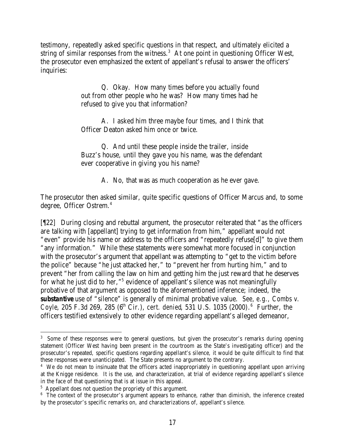testimony, repeatedly asked specific questions in that respect, and ultimately elicited a string of similar responses from the witness.<sup>3</sup> At one point in questioning Officer West, the prosecutor even emphasized the extent of appellant's refusal to answer the officers' inquiries:

> Q. Okay. How many times before you actually found out from other people who he was? How many times had he refused to give you that information?

A. I asked him three maybe four times, and I think that Officer Deaton asked him once or twice.

Q. And until these people inside the trailer, inside Buzz's house, until they gave you his name, was the defendant ever cooperative in giving you his name?

A. No, that was as much cooperation as he ever gave.

The prosecutor then asked similar, quite specific questions of Officer Marcus and, to some degree, Officer Ostrem.<sup>4</sup>

[¶22] During closing and rebuttal argument, the prosecutor reiterated that "as the officers are talking with [appellant] trying to get information from him," appellant would not "even" provide his name or address to the officers and "repeatedly refuse[d]" to give them "any information." While these statements were somewhat more focused in conjunction with the prosecutor's argument that appellant was attempting to "get to the victim before the police" because "he just attacked her," to "prevent her from hurting him," and to prevent "her from calling the law on him and getting him the just reward that he deserves for what he just did to her,"<sup>5</sup> evidence of appellant's silence was not meaningfully probative of that argument as opposed to the aforementioned inference; indeed, the *substantive* use of "silence" is generally of minimal probative value. *See, e.g., Combs v.*  Coyle, 205 F.3d 269, 285 (6<sup>th</sup> Cir.), *cert. denied*, 531 U.S. 1035 (2000). <sup>6</sup> Further, the officers testified extensively to other evidence regarding appellant's alleged demeanor,

<sup>&</sup>lt;sup>3</sup> Some of these responses were to general questions, but given the prosecutor's remarks during opening statement (Officer West having been present in the courtroom as the State's investigating officer) and the prosecutor's repeated, specific questions regarding appellant's silence, it would be quite difficult to find that these responses were unanticipated. The State presents no argument to the contrary.

<sup>&</sup>lt;sup>4</sup> We do not mean to insinuate that the officers acted inappropriately in questioning appellant upon arriving at the Knigge residence. It is the use, and characterization, at trial of evidence regarding appellant's silence in the face of that questioning that is at issue in this appeal.

<sup>&</sup>lt;sup>5</sup> Appellant does not question the propriety of this argument.

<sup>&</sup>lt;sup>6</sup> The context of the prosecutor's argument appears to enhance, rather than diminish, the inference created by the prosecutor's specific remarks on, and characterizations of, appellant's silence.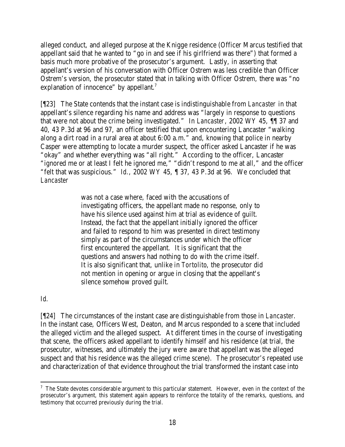alleged conduct, and alleged purpose at the Knigge residence (Officer Marcus testified that appellant said that he wanted to "go in and see if his girlfriend was there") that formed a basis much more probative of the prosecutor's argument. Lastly, in asserting that appellant's version of his conversation with Officer Ostrem was less credible than Officer Ostrem's version, the prosecutor stated that in talking with Officer Ostrem, there was "no explanation of innocence" by appellant.<sup>7</sup>

[¶23] The State contends that the instant case is indistinguishable from *Lancaster* in that appellant's silence regarding his name and address was "largely in response to questions that were not about the crime being investigated." In *Lancaster*, 2002 WY 45, ¶¶ 37 and 40, 43 P.3d at 96 and 97, an officer testified that upon encountering Lancaster "walking along a dirt road in a rural area at about 6:00 a.m." and, knowing that police in nearby Casper were attempting to locate a murder suspect, the officer asked Lancaster if he was "okay" and whether everything was "all right." According to the officer, Lancaster "ignored me or at least I felt he ignored me," "didn't respond to me at all," and the officer "felt that was suspicious." *Id.*, 2002 WY 45, ¶ 37, 43 P.3d at 96. We concluded that *Lancaster*

> was not a case where, faced with the accusations of investigating officers, the appellant made no response, only to have his silence used against him at trial as evidence of guilt. Instead, the fact that the appellant initially ignored the officer and failed to respond to him was presented in direct testimony simply as part of the circumstances under which the officer first encountered the appellant. It is significant that the questions and answers had nothing to do with the crime itself. It is also significant that, unlike in *Tortolito*, the prosecutor did not mention in opening or argue in closing that the appellant's silence somehow proved guilt.

*Id.*

[¶24] The circumstances of the instant case are distinguishable from those in *Lancaster*. In the instant case, Officers West, Deaton, and Marcus responded to a scene that included the alleged victim and the alleged suspect. At different times in the course of investigating that scene, the officers asked appellant to identify himself and his residence (at trial, the prosecutor, witnesses, and ultimately the jury were aware that appellant was the alleged suspect and that his residence was the alleged crime scene). The prosecutor's repeated use and characterization of that evidence throughout the trial transformed the instant case into

  $7$  The State devotes considerable argument to this particular statement. However, even in the context of the prosecutor's argument, this statement again appears to reinforce the totality of the remarks, questions, and testimony that occurred previously during the trial.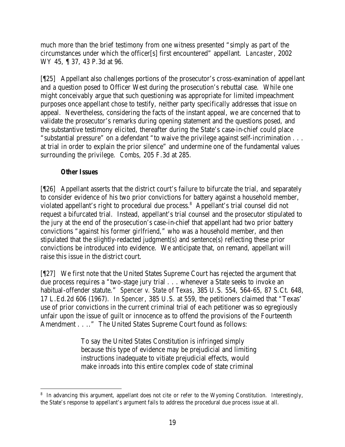much more than the brief testimony from one witness presented "simply as part of the circumstances under which the officer[s] first encountered" appellant. *Lancaster*, 2002 WY 45, ¶ 37, 43 P.3d at 96.

[¶25] Appellant also challenges portions of the prosecutor's cross-examination of appellant and a question posed to Officer West during the prosecution's rebuttal case. While one might conceivably argue that such questioning was appropriate for limited impeachment purposes once appellant chose to testify, neither party specifically addresses that issue on appeal. Nevertheless, considering the facts of the instant appeal, we are concerned that to validate the prosecutor's remarks during opening statement and the questions posed, and the substantive testimony elicited, thereafter during the State's case-in-chief could place "substantial pressure" on a defendant "to waive the privilege against self-incrimination . . . at trial in order to explain the prior silence" and undermine one of the fundamental values surrounding the privilege. *Combs*, 205 F.3d at 285.

## *Other Issues*

[¶26] Appellant asserts that the district court's failure to bifurcate the trial, and separately to consider evidence of his two prior convictions for battery against a household member, violated appellant's right to procedural due process.<sup>8</sup> Appellant's trial counsel did not request a bifurcated trial. Instead, appellant's trial counsel and the prosecutor stipulated to the jury at the end of the prosecution's case-in-chief that appellant had two prior battery convictions "against his former girlfriend," who was a household member, and then stipulated that the slightly-redacted judgment(s) and sentence(s) reflecting these prior convictions be introduced into evidence. We anticipate that, on remand, appellant will raise this issue in the district court.

[¶27] We first note that the United States Supreme Court has rejected the argument that due process requires a "two-stage jury trial . . . whenever a State seeks to invoke an habitual-offender statute." *Spencer v. State of Texas*, 385 U.S. 554, 564-65, 87 S.Ct. 648, 17 L.Ed.2d 606 (1967). In *Spencer*, 385 U.S. at 559, the petitioners claimed that "Texas' use of prior convictions in the current criminal trial of e ach petitioner was so egregiously unfair upon the issue of guilt or innocence as to offend the provisions of the Fourteenth Amendment . . .." The United States Supreme Court found as follows:

> To say the United States Constitution is infringed simply because this type of evidence may be prejudicial and limiting instructions inadequate to vitiate prejudicial effects, would make inroads into this entire complex code of state criminal

 <sup>8</sup> In advancing this argument, appellant does not cite or refer to the Wyoming Constitution. Interestingly, the State's response to appellant's argument fails to address the procedural due process issue at all.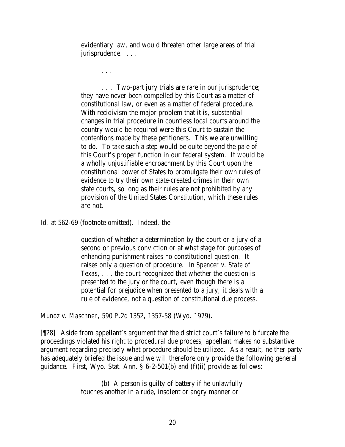evidentiary law, and would threaten other large areas of trial jurisprudence. . . .

. . .

. . . Two-part jury trials are rare in our jurisprudence; they have never been compelled by this Court as a matter of constitutional law, or even as a matter of federal procedure. With recidivism the major problem that it is, substantial changes in trial procedure in countless local courts around the country would be required were this Court to sustain the contentions made by these petitioners. This we are unwilling to do. To take such a step would be quite beyond the pale of this Court's proper function in our federal system. It would be a wholly unjustifiable encroachment by this Court upon the constitutional power of States to promulgate their own rules of evidence to try their own state-created crimes in their own state courts, so long as their rules are not prohibited by any provision of the United States Constitution, which these rules are not.

*Id.* at 562-69 (footnote omitted). Indeed, the

question of whether a determination by the court or a jury of a second or previous conviction or at what stage for purposes of enhancing punishment raises no constitutional question. It raises only a question of procedure. In *Spencer v. State of Texas*, . . . the court recognized that whether the question is presented to the jury or the court, even though there is a potential for prejudice when presented to a jury, it deals with a rule of evidence, not a question of constitutional due process.

*Munoz v. Maschner*, 590 P.2d 1352, 1357-58 (Wyo. 1979).

[¶28] Aside from appellant's argument that the district court's failure to bifurcate the proceedings violated his right to procedural due process, appellant makes no substantive argument regarding precisely what procedure should be utilized. As a result, neither party has adequately briefed the issue and we will therefore only provide the following general guidance. First, Wyo. Stat. Ann. § 6-2-501(b) and (f)(ii) provide as follows:

> (b) A person is guilty of battery if he unlawfully touches another in a rude, insolent or angry manner or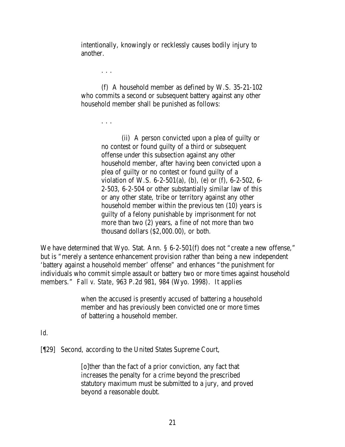intentionally, knowingly or recklessly causes bodily injury to another.

. . .

(f) A household member as defined by W.S. 35-21-102 who commits a second or subsequent battery against any other household member shall be punished as follows:

. . .

(ii) A person convicted upon a plea of guilty or no contest or found guilty of a third or subsequent offense under this subsection against any other household member, after having been convicted upon a plea of guilty or no contest or found guilty of a violation of W.S. 6-2-501(a), (b), (e) or (f), 6-2-502, 6- 2-503, 6-2-504 or other substantially similar law of this or any other state, tribe or territory against any other household member within the previous ten (10) years is guilty of a felony punishable by imprisonment for not more than two (2) years, a fine of not more than two thousand dollars (\$2,000.00), or both.

We have determined that Wyo. Stat. Ann. § 6-2-501(f) does not "create a new offense," but is "merely a sentence enhancement provision rather than being a new independent 'battery against a household member' offense" and enhances "the punishment for individuals who commit simple assault or battery two or more times against household members." *Fall v. State*, 963 P.2d 981, 984 (Wyo. 1998). It applies

> when the accused is presently accused of battering a household member and has previously been convicted one or more times of battering a household member.

#### *Id.*

[¶29] Second, according to the United States Supreme Court,

[o]ther than the fact of a prior conviction, any fact that increases the penalty for a crime beyond the prescribed statutory maximum must be submitted to a jury, and proved beyond a reasonable doubt.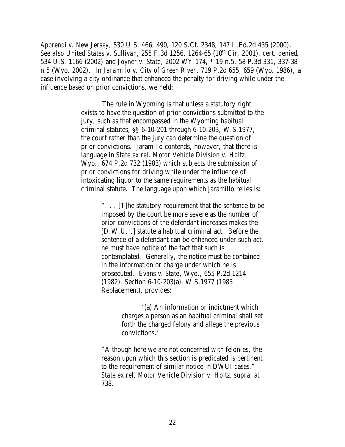*Apprendi v. New Jersey*, 530 U.S. 466, 490, 120 S.Ct. 2348, 147 L.Ed.2d 435 (2000). *See also United States v. Sullivan, 255 F.3d 1256, 1264-65 (10<sup>th</sup> Cir. 2001), <i>cert. denied*, 534 U.S. 1166 (2002) and *Joyner v. State*, 2002 WY 174, ¶ 19 n.5, 58 P.3d 331, 337-38 n.5 (Wyo. 2002). In *Jaramillo v. City of Green River*, 719 P.2d 655, 659 (Wyo. 1986), a case involving a city ordinance that enhanced the penalty for driving while under the influence based on prior convictions, we held:

> The rule in Wyoming is that unless a statutory right exists to have the question of prior convictions submitted to the jury, such as that encompassed in the Wyoming habitual criminal statutes, §§ 6-10-201 through 6-10-203, W.S.1977, the court rather than the jury can determine the question of prior convictions. Jaramillo contends, however, that there is language in *State ex rel. Motor Vehicle Division v. Holtz*, Wyo., 674 P.2d 732 (1983) which subjects the submission of prior convictions for driving while under the influence of intoxicating liquor to the same requirements as the habitual criminal statute. The language upon which Jaramillo relies is:

> > ". . . [T]he statutory requirement that the sentence to be imposed by the court be more severe as the number of prior convictions of the defendant increases makes the [D.W.U.I.] statute a habitual criminal act. Before the sentence of a defendant can be enhanced under such act, he must have notice of the fact that such is contemplated. Generally, the notice must be contained in the information or charge under which he is prosecuted. *Evans v. State*, Wyo., 655 P.2d 1214 (1982). Section 6-10-203(a), W.S.1977 (1983 Replacement), provides:

> > > '(a) An information or indictment which charges a person as an habitual criminal shall set forth the charged felony and allege the previous convictions.'

"Although here we are not concerned with felonies, the reason upon which this section is predicated is pertinent to the requirement of similar notice in DWUI cases." *State ex rel. Motor Vehicle Division v. Holtz*, *supra*, at 738.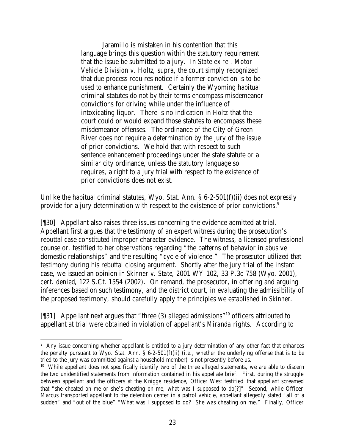Jaramillo is mistaken in his contention that this language brings this question within the statutory requirement that the issue be submitted to a jury. *In State ex rel. Motor Vehicle Division v. Holtz*, *supra*, the court simply recognized that due process requires notice if a former conviction is to be used to enhance punishment. Certainly the Wyoming habitual criminal statutes do not by their terms encompass misdemeanor convictions for driving while under the influence of intoxicating liquor. There is no indication in *Holtz* that the court could or would expand those statutes to encompass these misdemeanor offenses. The ordinance of the City of Green River does not require a determination by the jury of the issue of prior convictions. We hold that with respect to such sentence enhancement proceedings under the state statute or a similar city ordinance, unless the statutory language so requires, a right to a jury trial with respect to the existence of prior convictions does not exist.

Unlike the habitual criminal statutes, Wyo. Stat. Ann.  $\S 6-2-501(f)(ii)$  does not expressly provide for a jury determination with respect to the existence of prior convictions.<sup>9</sup>

[¶30] Appellant also raises three issues concerning the evidence admitted at trial. Appellant first argues that the testimony of an expert witness during the prosecution's rebuttal case constituted improper character evidence. The witness, a licensed professional counselor, testified to her observations regarding "the patterns of behavior in abusive domestic relationships" and the resulting "cycle of violence." The prosecutor utilized that testimony during his rebuttal closing argument. Shortly after the jury trial of the instant case, we issued an opinion in *Skinner v. State*, 2001 WY 102, 33 P.3d 758 (Wyo. 2001), *cert. denied*, 122 S.Ct. 1554 (2002). On remand, the prosecutor, in offering and arguing inferences based on such testimony, and the district court, in evaluating the admissibility of the proposed testimony, should carefully apply the principles we established in *Skinner*.

[¶31] Appellant next argues that "three (3) alleged admissions"<sup>10</sup> officers attributed to appellant at trial were obtained in violation of appellant's *Miranda* rights. According to

<sup>&</sup>lt;sup>9</sup> Any issue concerning whether appellant is entitled to a jury determination of any other fact that enhances the penalty pursuant to Wyo. Stat. Ann.  $\S 6-2-501(f)(ii)$  (i.e., whether the underlying offense that is to be tried to the jury was committed against a household member) is not presently before us.

<sup>&</sup>lt;sup>10</sup> While appellant does not specifically identify two of the three alleged statements, we are able to discern the two unidentified statements from information contained in his appellate brief. First, during the struggle between appellant and the officers at the Knigge residence, Officer West testified that appellant screamed that "she cheated on me or she's cheating on me, what was I supposed to do[?]" Second, while Officer Marcus transported appellant to the detention center in a patrol vehicle, appellant allegedly stated "all of a sudden" and "out of the blue" "What was I supposed to do? She was cheating on me." Finally, Officer